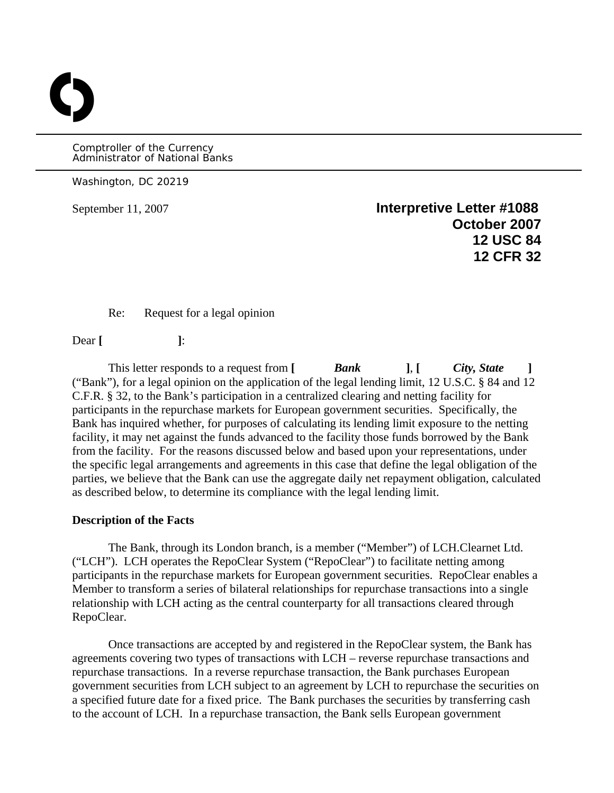Comptroller of the Currency Administrator of National Banks

Washington, DC 20219

O

September 11, 2007 **Interpretive Letter #1088 October 2007 12 USC 84 12 CFR 32** 

Re: Request for a legal opinion

Dear [ ]:

This letter responds to a request from **[** *Bank* **]**, **[** *City, State* **]** ("Bank"), for a legal opinion on the application of the legal lending limit, 12 U.S.C. § 84 and 12 C.F.R. § 32, to the Bank's participation in a centralized clearing and netting facility for participants in the repurchase markets for European government securities. Specifically, the Bank has inquired whether, for purposes of calculating its lending limit exposure to the netting facility, it may net against the funds advanced to the facility those funds borrowed by the Bank from the facility. For the reasons discussed below and based upon your representations, under the specific legal arrangements and agreements in this case that define the legal obligation of the parties, we believe that the Bank can use the aggregate daily net repayment obligation, calculated as described below, to determine its compliance with the legal lending limit.

## **Description of the Facts**

The Bank, through its London branch, is a member ("Member") of LCH.Clearnet Ltd. ("LCH"). LCH operates the RepoClear System ("RepoClear") to facilitate netting among participants in the repurchase markets for European government securities. RepoClear enables a Member to transform a series of bilateral relationships for repurchase transactions into a single relationship with LCH acting as the central counterparty for all transactions cleared through RepoClear.

Once transactions are accepted by and registered in the RepoClear system, the Bank has agreements covering two types of transactions with LCH – reverse repurchase transactions and repurchase transactions. In a reverse repurchase transaction, the Bank purchases European government securities from LCH subject to an agreement by LCH to repurchase the securities on a specified future date for a fixed price. The Bank purchases the securities by transferring cash to the account of LCH. In a repurchase transaction, the Bank sells European government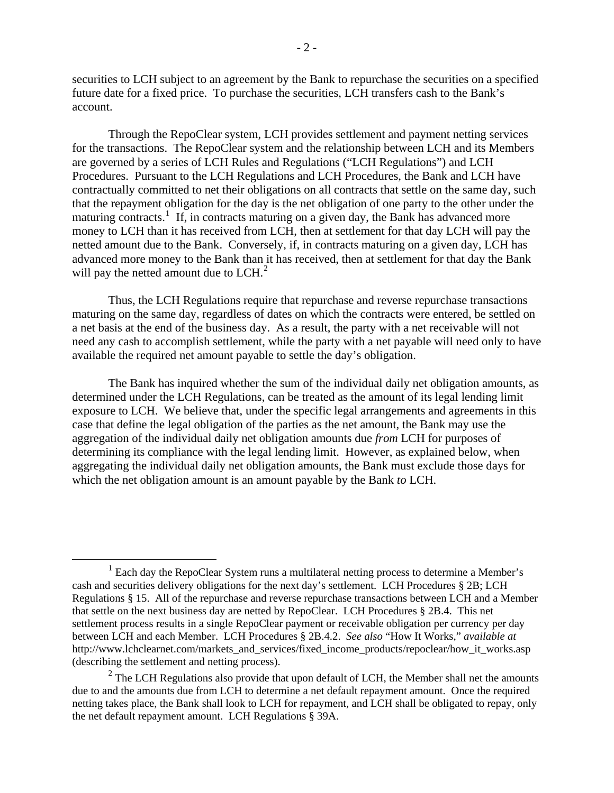securities to LCH subject to an agreement by the Bank to repurchase the securities on a specified future date for a fixed price. To purchase the securities, LCH transfers cash to the Bank's account.

Through the RepoClear system, LCH provides settlement and payment netting services for the transactions. The RepoClear system and the relationship between LCH and its Members are governed by a series of LCH Rules and Regulations ("LCH Regulations") and LCH Procedures. Pursuant to the LCH Regulations and LCH Procedures, the Bank and LCH have contractually committed to net their obligations on all contracts that settle on the same day, such that the repayment obligation for the day is the net obligation of one party to the other under the maturing contracts.<sup>[1](#page-1-0)</sup> If, in contracts maturing on a given day, the Bank has advanced more money to LCH than it has received from LCH, then at settlement for that day LCH will pay the netted amount due to the Bank. Conversely, if, in contracts maturing on a given day, LCH has advanced more money to the Bank than it has received, then at settlement for that day the Bank will pay the netted amount due to  $LCH<sup>2</sup>$  $LCH<sup>2</sup>$  $LCH<sup>2</sup>$ .

 Thus, the LCH Regulations require that repurchase and reverse repurchase transactions maturing on the same day, regardless of dates on which the contracts were entered, be settled on a net basis at the end of the business day. As a result, the party with a net receivable will not need any cash to accomplish settlement, while the party with a net payable will need only to have available the required net amount payable to settle the day's obligation.

The Bank has inquired whether the sum of the individual daily net obligation amounts, as determined under the LCH Regulations, can be treated as the amount of its legal lending limit exposure to LCH. We believe that, under the specific legal arrangements and agreements in this case that define the legal obligation of the parties as the net amount, the Bank may use the aggregation of the individual daily net obligation amounts due *from* LCH for purposes of determining its compliance with the legal lending limit. However, as explained below, when aggregating the individual daily net obligation amounts, the Bank must exclude those days for which the net obligation amount is an amount payable by the Bank *to* LCH.

<span id="page-1-0"></span> $<sup>1</sup>$  Each day the RepoClear System runs a multilateral netting process to determine a Member's</sup> cash and securities delivery obligations for the next day's settlement. LCH Procedures § 2B; LCH Regulations § 15. All of the repurchase and reverse repurchase transactions between LCH and a Member that settle on the next business day are netted by RepoClear. LCH Procedures § 2B.4. This net settlement process results in a single RepoClear payment or receivable obligation per currency per day between LCH and each Member. LCH Procedures § 2B.4.2. *See also* "How It Works," *available at* http://www.lchclearnet.com/markets\_and\_services/fixed\_income\_products/repoclear/how\_it\_works.asp (describing the settlement and netting process).

<span id="page-1-1"></span> $2^2$  The LCH Regulations also provide that upon default of LCH, the Member shall net the amounts due to and the amounts due from LCH to determine a net default repayment amount. Once the required netting takes place, the Bank shall look to LCH for repayment, and LCH shall be obligated to repay, only the net default repayment amount. LCH Regulations § 39A.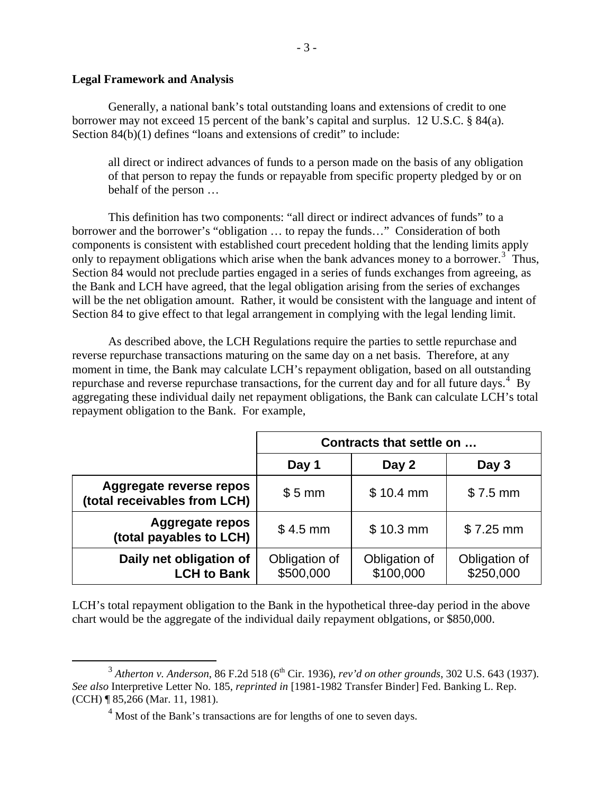## **Legal Framework and Analysis**

Generally, a national bank's total outstanding loans and extensions of credit to one borrower may not exceed 15 percent of the bank's capital and surplus. 12 U.S.C. § 84(a). Section 84(b)(1) defines "loans and extensions of credit" to include:

all direct or indirect advances of funds to a person made on the basis of any obligation of that person to repay the funds or repayable from specific property pledged by or on behalf of the person …

This definition has two components: "all direct or indirect advances of funds" to a borrower and the borrower's "obligation … to repay the funds…" Consideration of both components is consistent with established court precedent holding that the lending limits apply only to repayment obligations which arise when the bank advances money to a borrower.<sup>[3](#page-2-0)</sup> Thus, Section 84 would not preclude parties engaged in a series of funds exchanges from agreeing, as the Bank and LCH have agreed, that the legal obligation arising from the series of exchanges will be the net obligation amount. Rather, it would be consistent with the language and intent of Section 84 to give effect to that legal arrangement in complying with the legal lending limit.

 As described above, the LCH Regulations require the parties to settle repurchase and reverse repurchase transactions maturing on the same day on a net basis. Therefore, at any moment in time, the Bank may calculate LCH's repayment obligation, based on all outstanding repurchase and reverse repurchase transactions, for the current day and for all future days.<sup>[4](#page-2-1)</sup> By aggregating these individual daily net repayment obligations, the Bank can calculate LCH's total repayment obligation to the Bank. For example,

|                                                         | Contracts that settle on   |                            |                            |
|---------------------------------------------------------|----------------------------|----------------------------|----------------------------|
|                                                         | Day 1                      | Day 2                      | Day 3                      |
| Aggregate reverse repos<br>(total receivables from LCH) | $$5 \, mm$                 | $$10.4$ mm                 | $$7.5$ mm                  |
| <b>Aggregate repos</b><br>(total payables to LCH)       | $$4.5$ mm                  | $$10.3$ mm                 | $$7.25$ mm                 |
| Daily net obligation of<br><b>LCH to Bank</b>           | Obligation of<br>\$500,000 | Obligation of<br>\$100,000 | Obligation of<br>\$250,000 |

LCH's total repayment obligation to the Bank in the hypothetical three-day period in the above chart would be the aggregate of the individual daily repayment oblgations, or \$850,000.

<span id="page-2-1"></span><span id="page-2-0"></span> $3<sup>3</sup>$  Atherton v. Anderson, 86 F.2d 518 (6<sup>th</sup> Cir. 1936), *rev'd on other grounds*, 302 U.S. 643 (1937). *See also* Interpretive Letter No. 185, *reprinted in* [1981-1982 Transfer Binder] Fed. Banking L. Rep. (CCH) ¶ 85,266 (Mar. 11, 1981).

 $4$  Most of the Bank's transactions are for lengths of one to seven days.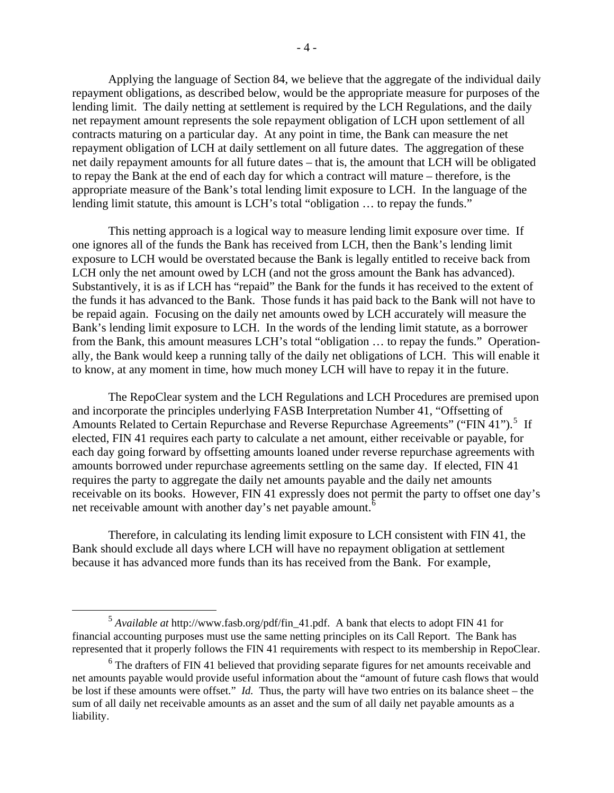Applying the language of Section 84, we believe that the aggregate of the individual daily repayment obligations, as described below, would be the appropriate measure for purposes of the lending limit. The daily netting at settlement is required by the LCH Regulations, and the daily net repayment amount represents the sole repayment obligation of LCH upon settlement of all contracts maturing on a particular day. At any point in time, the Bank can measure the net repayment obligation of LCH at daily settlement on all future dates. The aggregation of these net daily repayment amounts for all future dates – that is, the amount that LCH will be obligated to repay the Bank at the end of each day for which a contract will mature – therefore, is the appropriate measure of the Bank's total lending limit exposure to LCH. In the language of the lending limit statute, this amount is LCH's total "obligation … to repay the funds."

 This netting approach is a logical way to measure lending limit exposure over time. If one ignores all of the funds the Bank has received from LCH, then the Bank's lending limit exposure to LCH would be overstated because the Bank is legally entitled to receive back from LCH only the net amount owed by LCH (and not the gross amount the Bank has advanced). Substantively, it is as if LCH has "repaid" the Bank for the funds it has received to the extent of the funds it has advanced to the Bank. Those funds it has paid back to the Bank will not have to be repaid again. Focusing on the daily net amounts owed by LCH accurately will measure the Bank's lending limit exposure to LCH. In the words of the lending limit statute, as a borrower from the Bank, this amount measures LCH's total "obligation … to repay the funds." Operationally, the Bank would keep a running tally of the daily net obligations of LCH. This will enable it to know, at any moment in time, how much money LCH will have to repay it in the future.

 The RepoClear system and the LCH Regulations and LCH Procedures are premised upon and incorporate the principles underlying FASB Interpretation Number 41, "Offsetting of Amounts Related to Certain Repurchase and Reverse Repurchase Agreements" ("FIN 41").<sup>[5](#page-3-0)</sup> If elected, FIN 41 requires each party to calculate a net amount, either receivable or payable, for each day going forward by offsetting amounts loaned under reverse repurchase agreements with amounts borrowed under repurchase agreements settling on the same day. If elected, FIN 41 requires the party to aggregate the daily net amounts payable and the daily net amounts receivable on its books. However, FIN 41 expressly does not permit the party to offset one day's net receivable amount with another day's net payable amount.<sup>[6](#page-3-1)</sup>

 Therefore, in calculating its lending limit exposure to LCH consistent with FIN 41, the Bank should exclude all days where LCH will have no repayment obligation at settlement because it has advanced more funds than its has received from the Bank. For example,

<span id="page-3-0"></span> <sup>5</sup> *Available at* http://www.fasb.org/pdf/fin\_41.pdf. A bank that elects to adopt FIN 41 for financial accounting purposes must use the same netting principles on its Call Report. The Bank has represented that it properly follows the FIN 41 requirements with respect to its membership in RepoClear.

<span id="page-3-1"></span> $6$  The drafters of FIN 41 believed that providing separate figures for net amounts receivable and net amounts payable would provide useful information about the "amount of future cash flows that would be lost if these amounts were offset." *Id.* Thus, the party will have two entries on its balance sheet – the sum of all daily net receivable amounts as an asset and the sum of all daily net payable amounts as a liability.